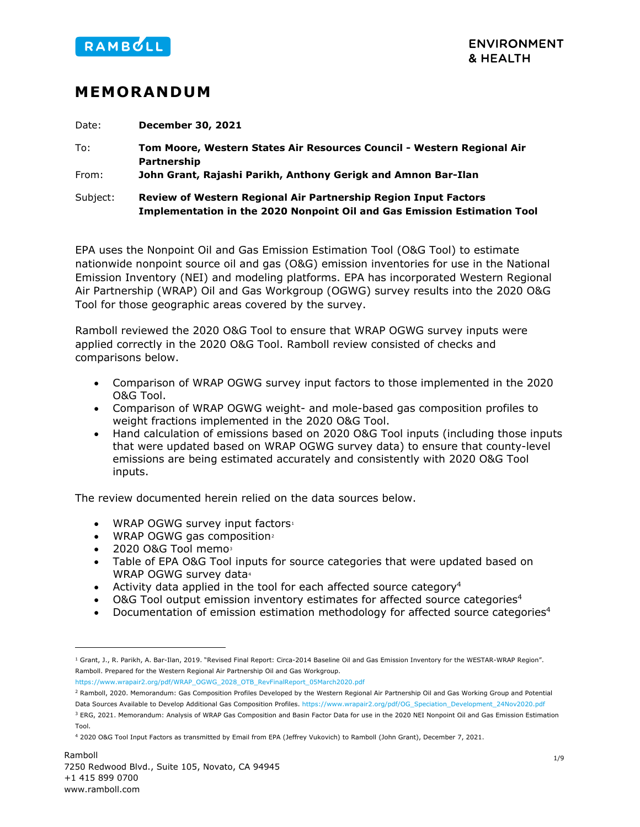

# **MEMORANDUM**

Date: **December 30, 2021** To: **Tom Moore, Western States Air Resources Council - Western Regional Air Partnership** From: **John Grant, Rajashi Parikh, Anthony Gerigk and Amnon Bar-Ilan**  Subject: **Review of Western Regional Air Partnership Region Input Factors Implementation in the 2020 Nonpoint Oil and Gas Emission Estimation Tool**

EPA uses the Nonpoint Oil and Gas Emission Estimation Tool (O&G Tool) to estimate nationwide nonpoint source oil and gas (O&G) emission inventories for use in the National Emission Inventory (NEI) and modeling platforms. EPA has incorporated Western Regional Air Partnership (WRAP) Oil and Gas Workgroup (OGWG) survey results into the 2020 O&G Tool for those geographic areas covered by the survey.

Ramboll reviewed the 2020 O&G Tool to ensure that WRAP OGWG survey inputs were applied correctly in the 2020 O&G Tool. Ramboll review consisted of checks and comparisons below.

- Comparison of WRAP OGWG survey input factors to those implemented in the 2020 O&G Tool.
- Comparison of WRAP OGWG weight- and mole-based gas composition profiles to weight fractions implemented in the 2020 O&G Tool.
- Hand calculation of emissions based on 2020 O&G Tool inputs (including those inputs that were updated based on WRAP OGWG survey data) to ensure that county-level emissions are being estimated accurately and consistently with 2020 O&G Tool inputs.

The review documented herein relied on the data sources below.

- <span id="page-0-5"></span>WRAP OGWG survey input factors<sup>[1](#page-0-1)</sup>
- WRAP OGWG gas composition<sup>[2](#page-0-2)</sup>
- $\bullet$  2020 O&G Tool memo $3$
- <span id="page-0-0"></span>• Table of EPA O&G Tool inputs for source categories that were updated based on WRAP OGWG survey data<sup>[4](#page-0-4)</sup>
- Activity data applied in the tool for each affected source category<sup>4</sup>
- O&G Tool output emission inventory estimates for affected source categories<sup>4</sup>
- Documentation of emission estimation methodology for affected source categories<sup>4</sup>

[https://www.wrapair2.org/pdf/WRAP\\_OGWG\\_2028\\_OTB\\_RevFinalReport\\_05March2020.pdf](https://www.wrapair2.org/pdf/WRAP_OGWG_2028_OTB_RevFinalReport_05March2020.pdf) 

<span id="page-0-1"></span><sup>1</sup> Grant, J., R. Parikh, A. Bar-Ilan, 2019. "Revised Final Report: Circa-2014 Baseline Oil and Gas Emission Inventory for the WESTAR-WRAP Region". Ramboll. Prepared for the Western Regional Air Partnership Oil and Gas Workgroup.

<span id="page-0-2"></span><sup>2</sup> Ramboll, 2020. Memorandum: Gas Composition Profiles Developed by the Western Regional Air Partnership Oil and Gas Working Group and Potential Data Sources Available to Develop Additional Gas Composition Profiles[. https://www.wrapair2.org/pdf/OG\\_Speciation\\_Development\\_24Nov2020.pdf](https://www.wrapair2.org/pdf/OG_Speciation_Development_24Nov2020.pdf)

<span id="page-0-3"></span><sup>&</sup>lt;sup>3</sup> ERG, 2021. Memorandum: Analysis of WRAP Gas Composition and Basin Factor Data for use in the 2020 NEI Nonpoint Oil and Gas Emission Estimation Tool.

<span id="page-0-4"></span><sup>4</sup> 2020 O&G Tool Input Factors as transmitted by Email from EPA (Jeffrey Vukovich) to Ramboll (John Grant), December 7, 2021.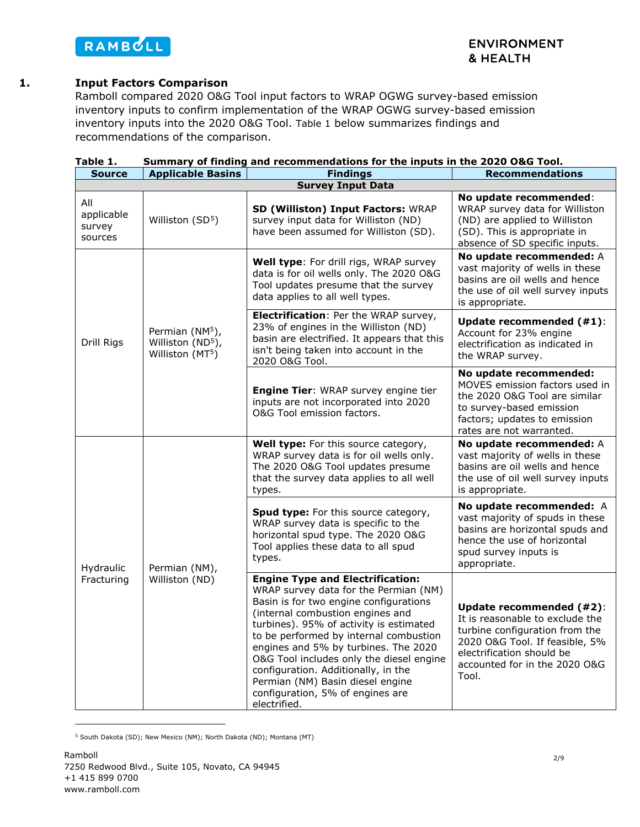

#### **1. Input Factors Comparison**

Ramboll compared 2020 O&G Tool input factors to WRAP OGWG survey-based emission inventory inputs to confirm implementation of the WRAP OGWG survey-based emission inventory inputs into the 2020 O&G Tool. [Table 1](#page-1-0) below summarizes findings and recommendations of the comparison.

<span id="page-1-1"></span>

| <b>Source</b>                          | <b>Applicable Basins</b>                                                        | <b>Findings</b>                                                                                                                                                                                                                                                                                                                                                                                                                                                        | <b>Recommendations</b>                                                                                                                                                                                 |
|----------------------------------------|---------------------------------------------------------------------------------|------------------------------------------------------------------------------------------------------------------------------------------------------------------------------------------------------------------------------------------------------------------------------------------------------------------------------------------------------------------------------------------------------------------------------------------------------------------------|--------------------------------------------------------------------------------------------------------------------------------------------------------------------------------------------------------|
|                                        |                                                                                 | <b>Survey Input Data</b>                                                                                                                                                                                                                                                                                                                                                                                                                                               |                                                                                                                                                                                                        |
| All<br>applicable<br>survey<br>sources | Williston (SD <sup>5</sup> )                                                    | SD (Williston) Input Factors: WRAP<br>survey input data for Williston (ND)<br>have been assumed for Williston (SD).                                                                                                                                                                                                                                                                                                                                                    | No update recommended:<br>WRAP survey data for Williston<br>(ND) are applied to Williston<br>(SD). This is appropriate in<br>absence of SD specific inputs.                                            |
| Drill Rigs                             | Permian (NM <sup>5</sup> ),<br>Williston (ND <sup>5</sup> ),<br>Williston (MT5) | Well type: For drill rigs, WRAP survey<br>data is for oil wells only. The 2020 O&G<br>Tool updates presume that the survey<br>data applies to all well types.                                                                                                                                                                                                                                                                                                          | No update recommended: A<br>vast majority of wells in these<br>basins are oil wells and hence<br>the use of oil well survey inputs<br>is appropriate.                                                  |
|                                        |                                                                                 | Electrification: Per the WRAP survey,<br>23% of engines in the Williston (ND)<br>basin are electrified. It appears that this<br>isn't being taken into account in the<br>2020 O&G Tool.                                                                                                                                                                                                                                                                                | <b>Update recommended (#1):</b><br>Account for 23% engine<br>electrification as indicated in<br>the WRAP survey.                                                                                       |
|                                        |                                                                                 | Engine Tier: WRAP survey engine tier<br>inputs are not incorporated into 2020<br>O&G Tool emission factors.                                                                                                                                                                                                                                                                                                                                                            | No update recommended:<br>MOVES emission factors used in<br>the 2020 O&G Tool are similar<br>to survey-based emission<br>factors; updates to emission<br>rates are not warranted.                      |
| Hydraulic<br>Fracturing                | Permian (NM),<br>Williston (ND)                                                 | Well type: For this source category,<br>WRAP survey data is for oil wells only.<br>The 2020 O&G Tool updates presume<br>that the survey data applies to all well<br>types.                                                                                                                                                                                                                                                                                             | No update recommended: A<br>vast majority of wells in these<br>basins are oil wells and hence<br>the use of oil well survey inputs<br>is appropriate.                                                  |
|                                        |                                                                                 | Spud type: For this source category,<br>WRAP survey data is specific to the<br>horizontal spud type. The 2020 O&G<br>Tool applies these data to all spud<br>types.                                                                                                                                                                                                                                                                                                     | No update recommended: A<br>vast majority of spuds in these<br>basins are horizontal spuds and<br>hence the use of horizontal<br>spud survey inputs is<br>appropriate.                                 |
|                                        |                                                                                 | <b>Engine Type and Electrification:</b><br>WRAP survey data for the Permian (NM)<br>Basin is for two engine configurations<br>(internal combustion engines and<br>turbines). 95% of activity is estimated<br>to be performed by internal combustion<br>engines and 5% by turbines. The 2020<br>O&G Tool includes only the diesel engine<br>configuration. Additionally, in the<br>Permian (NM) Basin diesel engine<br>configuration, 5% of engines are<br>electrified. | Update recommended (#2):<br>It is reasonable to exclude the<br>turbine configuration from the<br>2020 O&G Tool. If feasible, 5%<br>electrification should be<br>accounted for in the 2020 O&G<br>Tool. |

<span id="page-1-0"></span>

| Table 1. |  | Summary of finding and recommendations for the inputs in the 2020 O&G Tool. |  |  |  |  |
|----------|--|-----------------------------------------------------------------------------|--|--|--|--|
|          |  |                                                                             |  |  |  |  |

<span id="page-1-2"></span><sup>5</sup> South Dakota (SD); New Mexico (NM); North Dakota (ND); Montana (MT)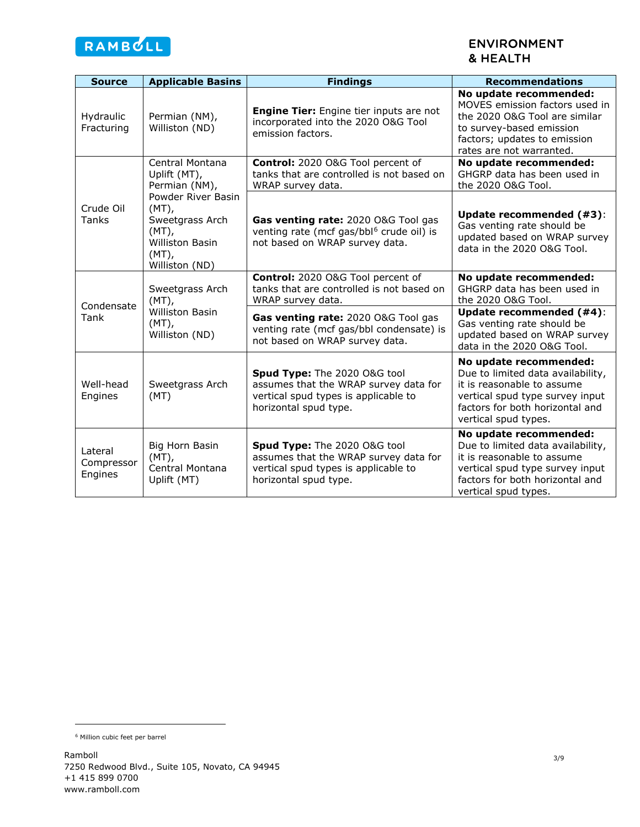

# **ENVIRONMENT** & HEALTH

| <b>Source</b>                                                                                                                               | <b>Applicable Basins</b>                                                            | <b>Findings</b>                                                                                                                        | <b>Recommendations</b>                                                                                                                                                                  |
|---------------------------------------------------------------------------------------------------------------------------------------------|-------------------------------------------------------------------------------------|----------------------------------------------------------------------------------------------------------------------------------------|-----------------------------------------------------------------------------------------------------------------------------------------------------------------------------------------|
| Hydraulic<br>Fracturing                                                                                                                     | Permian (NM),<br>Williston (ND)                                                     | <b>Engine Tier:</b> Engine tier inputs are not<br>incorporated into the 2020 O&G Tool<br>emission factors.                             | No update recommended:<br>MOVES emission factors used in<br>the 2020 O&G Tool are similar<br>to survey-based emission<br>factors; updates to emission<br>rates are not warranted.       |
|                                                                                                                                             | Central Montana<br>Uplift (MT),<br>Permian (NM),                                    | Control: 2020 O&G Tool percent of<br>tanks that are controlled is not based on<br>WRAP survey data.                                    | No update recommended:<br>GHGRP data has been used in<br>the 2020 O&G Tool.                                                                                                             |
| Powder River Basin<br>Crude Oil<br>$(MT)$ ,<br>Tanks<br>Sweetgrass Arch<br>$(MT)$ ,<br><b>Williston Basin</b><br>$(MT)$ ,<br>Williston (ND) |                                                                                     | Gas venting rate: 2020 O&G Tool gas<br>venting rate (mcf gas/bbl <sup>6</sup> crude oil) is<br>not based on WRAP survey data.          | Update recommended (#3):<br>Gas venting rate should be<br>updated based on WRAP survey<br>data in the 2020 O&G Tool.                                                                    |
| Condensate<br>Tank                                                                                                                          | Sweetgrass Arch<br>$(MT)$ ,<br><b>Williston Basin</b><br>$(MT)$ ,<br>Williston (ND) | Control: 2020 O&G Tool percent of<br>tanks that are controlled is not based on<br>WRAP survey data.                                    | No update recommended:<br>GHGRP data has been used in<br>the 2020 O&G Tool.                                                                                                             |
|                                                                                                                                             |                                                                                     | Gas venting rate: 2020 O&G Tool gas<br>venting rate (mcf gas/bbl condensate) is<br>not based on WRAP survey data.                      | Update recommended (#4):<br>Gas venting rate should be<br>updated based on WRAP survey<br>data in the 2020 O&G Tool.                                                                    |
| Well-head<br>Engines                                                                                                                        | Sweetgrass Arch<br>(MT)                                                             | Spud Type: The 2020 O&G tool<br>assumes that the WRAP survey data for<br>vertical spud types is applicable to<br>horizontal spud type. | No update recommended:<br>Due to limited data availability,<br>it is reasonable to assume<br>vertical spud type survey input<br>factors for both horizontal and<br>vertical spud types. |
| Lateral<br>Compressor<br>Engines                                                                                                            | Big Horn Basin<br>$(MT)$ ,<br>Central Montana<br>Uplift (MT)                        | Spud Type: The 2020 O&G tool<br>assumes that the WRAP survey data for<br>vertical spud types is applicable to<br>horizontal spud type. | No update recommended:<br>Due to limited data availability,<br>it is reasonable to assume<br>vertical spud type survey input<br>factors for both horizontal and<br>vertical spud types. |

<span id="page-2-0"></span><sup>6</sup> Million cubic feet per barrel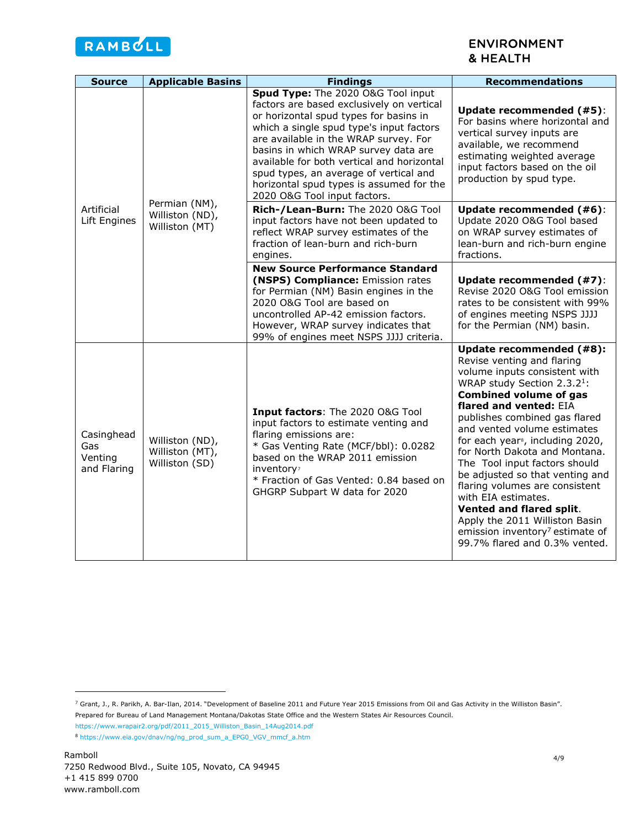

## <span id="page-3-3"></span>**ENVIRONMENT** & HEALTH

| <b>Source</b>                               | <b>Applicable Basins</b>                             | <b>Findings</b>                                                                                                                                                                                                                                                                                                                                                                                                            | <b>Recommendations</b>                                                                                                                                                                                                                                                                                                                                                                                                                                                                                                                                                                                                    |
|---------------------------------------------|------------------------------------------------------|----------------------------------------------------------------------------------------------------------------------------------------------------------------------------------------------------------------------------------------------------------------------------------------------------------------------------------------------------------------------------------------------------------------------------|---------------------------------------------------------------------------------------------------------------------------------------------------------------------------------------------------------------------------------------------------------------------------------------------------------------------------------------------------------------------------------------------------------------------------------------------------------------------------------------------------------------------------------------------------------------------------------------------------------------------------|
| Artificial<br>Lift Engines                  | Permian (NM),<br>Williston (ND),<br>Williston (MT)   | Spud Type: The 2020 O&G Tool input<br>factors are based exclusively on vertical<br>or horizontal spud types for basins in<br>which a single spud type's input factors<br>are available in the WRAP survey. For<br>basins in which WRAP survey data are<br>available for both vertical and horizontal<br>spud types, an average of vertical and<br>horizontal spud types is assumed for the<br>2020 O&G Tool input factors. | Update recommended (#5):<br>For basins where horizontal and<br>vertical survey inputs are<br>available, we recommend<br>estimating weighted average<br>input factors based on the oil<br>production by spud type.                                                                                                                                                                                                                                                                                                                                                                                                         |
|                                             |                                                      | Rich-/Lean-Burn: The 2020 O&G Tool<br>input factors have not been updated to<br>reflect WRAP survey estimates of the<br>fraction of lean-burn and rich-burn<br>engines.                                                                                                                                                                                                                                                    | Update recommended (#6):<br>Update 2020 O&G Tool based<br>on WRAP survey estimates of<br>lean-burn and rich-burn engine<br>fractions.                                                                                                                                                                                                                                                                                                                                                                                                                                                                                     |
|                                             |                                                      | <b>New Source Performance Standard</b><br>(NSPS) Compliance: Emission rates<br>for Permian (NM) Basin engines in the<br>2020 O&G Tool are based on<br>uncontrolled AP-42 emission factors.<br>However, WRAP survey indicates that<br>99% of engines meet NSPS JJJJ criteria.                                                                                                                                               | Update recommended (#7):<br>Revise 2020 O&G Tool emission<br>rates to be consistent with 99%<br>of engines meeting NSPS JJJJ<br>for the Permian (NM) basin.                                                                                                                                                                                                                                                                                                                                                                                                                                                               |
| Casinghead<br>Gas<br>Venting<br>and Flaring | Williston (ND),<br>Williston (MT),<br>Williston (SD) | Input factors: The 2020 O&G Tool<br>input factors to estimate venting and<br>flaring emissions are:<br>* Gas Venting Rate (MCF/bbl): 0.0282<br>based on the WRAP 2011 emission<br>inventory?<br>* Fraction of Gas Vented: 0.84 based on<br>GHGRP Subpart W data for 2020                                                                                                                                                   | Update recommended (#8):<br>Revise venting and flaring<br>volume inputs consistent with<br>WRAP study Section 2.3.2 <sup>1</sup> :<br><b>Combined volume of gas</b><br>flared and vented: EIA<br>publishes combined gas flared<br>and vented volume estimates<br>for each year <sup>s</sup> , including 2020,<br>for North Dakota and Montana.<br>The Tool input factors should<br>be adjusted so that venting and<br>flaring volumes are consistent<br>with EIA estimates.<br>Vented and flared split.<br>Apply the 2011 Williston Basin<br>emission inventory <sup>7</sup> estimate of<br>99.7% flared and 0.3% vented. |

<span id="page-3-1"></span><span id="page-3-0"></span><sup>7</sup> Grant, J., R. Parikh, A. Bar-Ilan, 2014. "Development of Baseline 2011 and Future Year 2015 Emissions from Oil and Gas Activity in the Williston Basin". Prepared for Bureau of Land Management Montana/Dakotas State Office and the Western States Air Resources Council.

[https://www.wrapair2.org/pdf/2011\\_2015\\_Williston\\_Basin\\_14Aug2014.pdf](https://www.wrapair2.org/pdf/2011_2015_Williston_Basin_14Aug2014.pdf) 

<span id="page-3-2"></span><sup>8</sup> [https://www.eia.gov/dnav/ng/ng\\_prod\\_sum\\_a\\_EPG0\\_VGV\\_mmcf\\_a.htm](https://www.eia.gov/dnav/ng/ng_prod_sum_a_EPG0_VGV_mmcf_a.htm)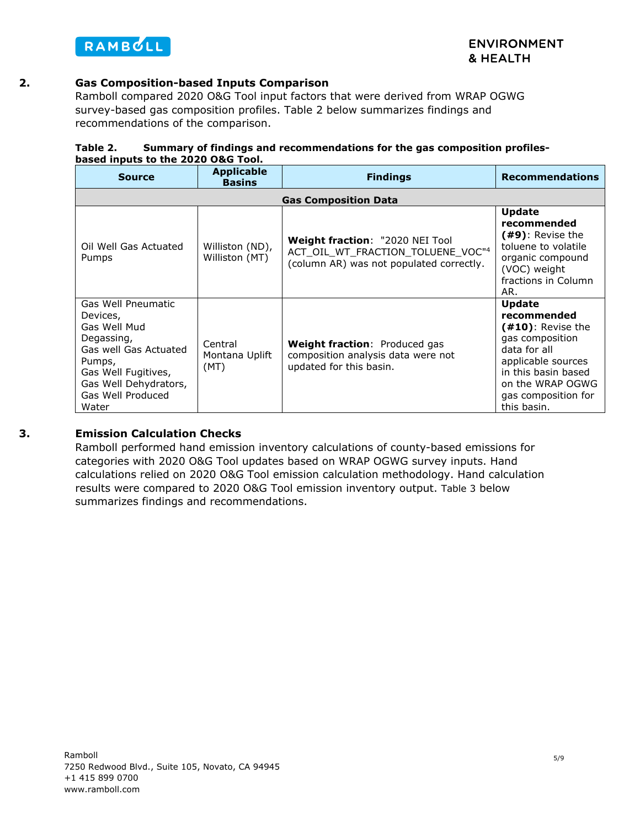

## **2. Gas Composition-based Inputs Comparison**

Ramboll compared 2020 O&G Tool input factors that were derived from WRAP OGWG survey-based gas composition profiles. [Table 2](#page-4-0) below summarizes findings and recommendations of the comparison.

<span id="page-4-0"></span>

| Table 2. | Summary of findings and recommendations for the gas composition profiles- |
|----------|---------------------------------------------------------------------------|
|          | based inputs to the 2020 O&G Tool.                                        |

| <b>Source</b>                                                                                                                                                                 | <b>Applicable</b><br><b>Basins</b> | <b>Findings</b>                                                                                                  | <b>Recommendations</b>                                                                                                                                                                         |  |  |  |  |
|-------------------------------------------------------------------------------------------------------------------------------------------------------------------------------|------------------------------------|------------------------------------------------------------------------------------------------------------------|------------------------------------------------------------------------------------------------------------------------------------------------------------------------------------------------|--|--|--|--|
|                                                                                                                                                                               | <b>Gas Composition Data</b>        |                                                                                                                  |                                                                                                                                                                                                |  |  |  |  |
| Oil Well Gas Actuated<br>Pumps                                                                                                                                                | Williston (ND),<br>Williston (MT)  | Weight fraction: "2020 NEI Tool<br>ACT OIL WT FRACTION TOLUENE VOC"4<br>(column AR) was not populated correctly. | <b>Update</b><br>recommended<br>(#9): Revise the<br>toluene to volatile<br>organic compound<br>(VOC) weight<br>fractions in Column<br>AR.                                                      |  |  |  |  |
| Gas Well Pneumatic<br>Devices,<br>Gas Well Mud<br>Degassing,<br>Gas well Gas Actuated<br>Pumps,<br>Gas Well Fugitives,<br>Gas Well Dehydrators,<br>Gas Well Produced<br>Water | Central<br>Montana Uplift<br>(MT)  | <b>Weight fraction: Produced gas</b><br>composition analysis data were not<br>updated for this basin.            | <b>Update</b><br>recommended<br>$(410)$ : Revise the<br>gas composition<br>data for all<br>applicable sources<br>in this basin based<br>on the WRAP OGWG<br>gas composition for<br>this basin. |  |  |  |  |

### **3. Emission Calculation Checks**

Ramboll performed hand emission inventory calculations of county-based emissions for categories with 2020 O&G Tool updates based on WRAP OGWG survey inputs. Hand calculations relied on 2020 O&G Tool emission calculation methodology. Hand calculation results were compared to 2020 O&G Tool emission inventory output. [Table 3](#page-5-0) below summarizes findings and recommendations.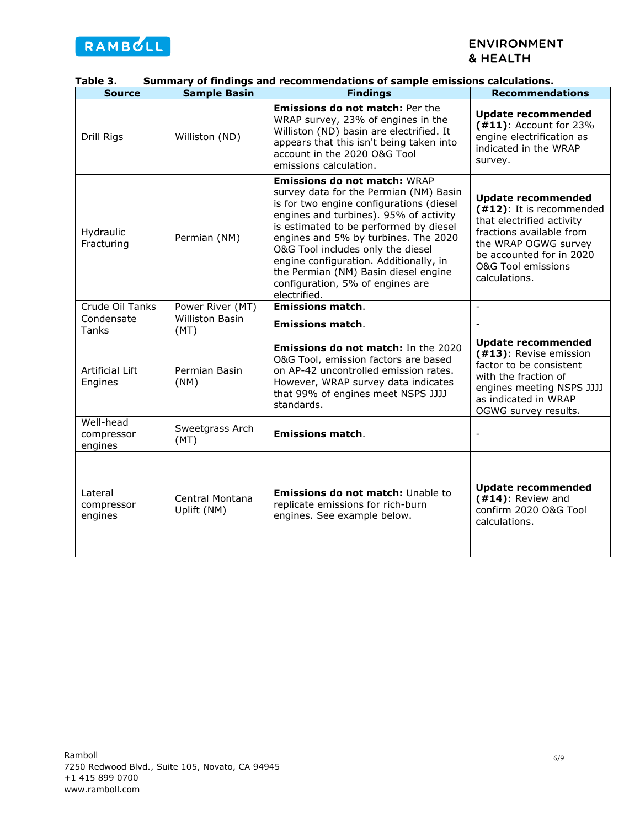

| rabie ɔ.                           |                                | Summary of findings and recommendations of sample emissions calculations.                                                                                                                                                                                                                                                                                                                                                        |                                                                                                                                                                                                                      |
|------------------------------------|--------------------------------|----------------------------------------------------------------------------------------------------------------------------------------------------------------------------------------------------------------------------------------------------------------------------------------------------------------------------------------------------------------------------------------------------------------------------------|----------------------------------------------------------------------------------------------------------------------------------------------------------------------------------------------------------------------|
| <b>Source</b>                      | <b>Sample Basin</b>            | <b>Findings</b>                                                                                                                                                                                                                                                                                                                                                                                                                  | <b>Recommendations</b>                                                                                                                                                                                               |
| Drill Rigs                         | Williston (ND)                 | <b>Emissions do not match: Per the</b><br>WRAP survey, 23% of engines in the<br>Williston (ND) basin are electrified. It<br>appears that this isn't being taken into<br>account in the 2020 O&G Tool<br>emissions calculation.                                                                                                                                                                                                   | <b>Update recommended</b><br>$(411)$ : Account for 23%<br>engine electrification as<br>indicated in the WRAP<br>survey.                                                                                              |
| Hydraulic<br>Fracturing            | Permian (NM)                   | <b>Emissions do not match: WRAP</b><br>survey data for the Permian (NM) Basin<br>is for two engine configurations (diesel<br>engines and turbines). 95% of activity<br>is estimated to be performed by diesel<br>engines and 5% by turbines. The 2020<br>O&G Tool includes only the diesel<br>engine configuration. Additionally, in<br>the Permian (NM) Basin diesel engine<br>configuration, 5% of engines are<br>electrified. | <b>Update recommended</b><br>(#12): It is recommended<br>that electrified activity<br>fractions available from<br>the WRAP OGWG survey<br>be accounted for in 2020<br><b>O&amp;G Tool emissions</b><br>calculations. |
| Crude Oil Tanks                    | Power River (MT)               | <b>Emissions match.</b>                                                                                                                                                                                                                                                                                                                                                                                                          | $\equiv$                                                                                                                                                                                                             |
| Condensate<br>Tanks                | <b>Williston Basin</b><br>(MT) | <b>Emissions match.</b>                                                                                                                                                                                                                                                                                                                                                                                                          | $\overline{\phantom{a}}$                                                                                                                                                                                             |
| Artificial Lift<br>Engines         | Permian Basin<br>(NM)          | <b>Emissions do not match: In the 2020</b><br>O&G Tool, emission factors are based<br>on AP-42 uncontrolled emission rates.<br>However, WRAP survey data indicates<br>that 99% of engines meet NSPS JJJJ<br>standards.                                                                                                                                                                                                           | <b>Update recommended</b><br>(#13): Revise emission<br>factor to be consistent<br>with the fraction of<br>engines meeting NSPS JJJJ<br>as indicated in WRAP<br>OGWG survey results.                                  |
| Well-head<br>compressor<br>engines | Sweetgrass Arch<br>(MT)        | <b>Emissions match.</b>                                                                                                                                                                                                                                                                                                                                                                                                          | $\overline{\phantom{a}}$                                                                                                                                                                                             |
| Lateral<br>compressor<br>engines   | Central Montana<br>Uplift (NM) | <b>Emissions do not match: Unable to</b><br>replicate emissions for rich-burn<br>engines. See example below.                                                                                                                                                                                                                                                                                                                     | <b>Update recommended</b><br>$(414)$ : Review and<br>confirm 2020 O&G Tool<br>calculations.                                                                                                                          |

## <span id="page-5-0"></span>**Table 3. Summary of findings and recommendations of sample emissions calculations.**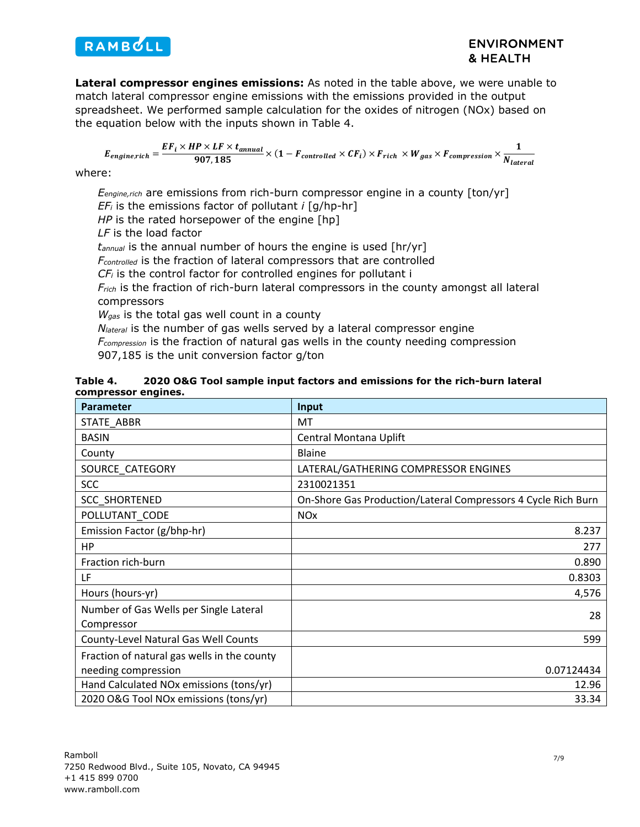

**Lateral compressor engines emissions:** As noted in the table above, we were unable to match lateral compressor engine emissions with the emissions provided in the output spreadsheet. We performed sample calculation for the oxides of nitrogen (NOx) based on the equation below with the inputs shown in [Table 4.](#page-6-0)

$$
E_{engine, rich} = \frac{EF_i \times HP \times LF \times t_{annual}}{907,185} \times (1 - F_{controlled} \times CF_i) \times F_{rich} \times W_{gas} \times F_{compression} \times \frac{1}{N_{lateral}}
$$

where:

*Eengine,rich* are emissions from rich-burn compressor engine in a county [ton/yr] *EFi* is the emissions factor of pollutant *i* [g/hp-hr]

*HP* is the rated horsepower of the engine [hp]

*LF* is the load factor

*tannual* is the annual number of hours the engine is used [hr/yr]

*Fcontrolled* is the fraction of lateral compressors that are controlled

*CFi* is the control factor for controlled engines for pollutant i

*Frich* is the fraction of rich-burn lateral compressors in the county amongst all lateral compressors

*Wgas* is the total gas well count in a county

*N<sub>lateral</sub>* is the number of gas wells served by a lateral compressor engine

*Fcompression* is the fraction of natural gas wells in the county needing compression

907,185 is the unit conversion factor g/ton

<span id="page-6-0"></span>

| Table 4.            | 2020 O&G Tool sample input factors and emissions for the rich-burn lateral |
|---------------------|----------------------------------------------------------------------------|
| compressor engines. |                                                                            |

| <b>Parameter</b>                            | Input                                                         |
|---------------------------------------------|---------------------------------------------------------------|
| STATE ABBR                                  | MT                                                            |
| <b>BASIN</b>                                | Central Montana Uplift                                        |
| County                                      | <b>Blaine</b>                                                 |
| SOURCE CATEGORY                             | LATERAL/GATHERING COMPRESSOR ENGINES                          |
| <b>SCC</b>                                  | 2310021351                                                    |
| <b>SCC SHORTENED</b>                        | On-Shore Gas Production/Lateral Compressors 4 Cycle Rich Burn |
| POLLUTANT_CODE                              | <b>NO<sub>x</sub></b>                                         |
| Emission Factor (g/bhp-hr)                  | 8.237                                                         |
| HP.                                         | 277                                                           |
| Fraction rich-burn                          | 0.890                                                         |
| LF                                          | 0.8303                                                        |
| Hours (hours-yr)                            | 4,576                                                         |
| Number of Gas Wells per Single Lateral      | 28                                                            |
| Compressor                                  |                                                               |
| County-Level Natural Gas Well Counts        | 599                                                           |
| Fraction of natural gas wells in the county |                                                               |
| needing compression                         | 0.07124434                                                    |
| Hand Calculated NOx emissions (tons/yr)     | 12.96                                                         |
| 2020 O&G Tool NOx emissions (tons/yr)       | 33.34                                                         |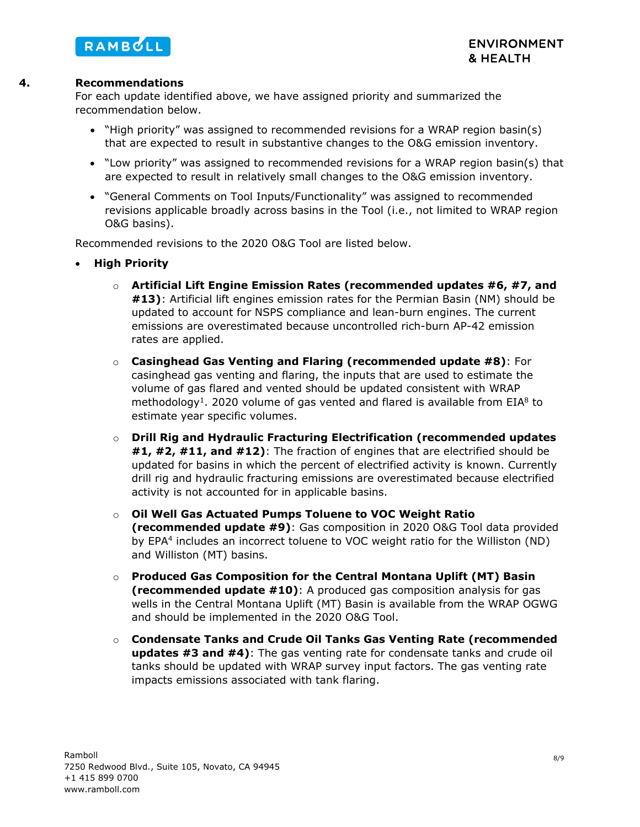

#### **4. Recommendations**

For each update identified above, we have assigned priority and summarized the recommendation below.

- "High priority" was assigned to recommended revisions for a WRAP region basin(s) that are expected to result in substantive changes to the O&G emission inventory.
- "Low priority" was assigned to recommended revisions for a WRAP region basin(s) that are expected to result in relatively small changes to the O&G emission inventory.
- "General Comments on Tool Inputs/Functionality" was assigned to recommended revisions applicable broadly across basins in the Tool (i.e., not limited to WRAP region O&G basins).

Recommended revisions to the 2020 O&G Tool are listed below.

- **High Priority**
	- o **Artificial Lift Engine Emission Rates (recommended updates #6, #7, and #13)**: Artificial lift engines emission rates for the Permian Basin (NM) should be updated to account for NSPS compliance and lean-burn engines. The current emissions are overestimated because uncontrolled rich-burn AP-42 emission rates are applied.
	- o **Casinghead Gas Venting and Flaring (recommended update #8)**: For casinghead gas venting and flaring, the inputs that are used to estimate the volume of gas flared and vented should be updated consistent with WRAP methodology<sup>1</sup>. 2020 volume of gas vented and flared is available from EIA<sup>8</sup> to estimate year specific volumes.
	- o **Drill Rig and Hydraulic Fracturing Electrification (recommended updates #1, #2, #11, and #12)**: The fraction of engines that are electrified should be updated for basins in which the percent of electrified activity is known. Currently drill rig and hydraulic fracturing emissions are overestimated because electrified activity is not accounted for in applicable basins.
	- o **Oil Well Gas Actuated Pumps Toluene to VOC Weight Ratio (recommended update #9)**: Gas composition in 2020 O&G Tool data provided by EPA<sup>4</sup> includes an incorrect toluene to VOC weight ratio for the Williston (ND) and Williston (MT) basins.
	- o **Produced Gas Composition for the Central Montana Uplift (MT) Basin (recommended update #10)**: A produced gas composition analysis for gas wells in the Central Montana Uplift (MT) Basin is available from the WRAP OGWG and should be implemented in the 2020 O&G Tool.
	- o **Condensate Tanks and Crude Oil Tanks Gas Venting Rate (recommended updates #3 and #4)**: The gas venting rate for condensate tanks and crude oil tanks should be updated with WRAP survey input factors. The gas venting rate impacts emissions associated with tank flaring.